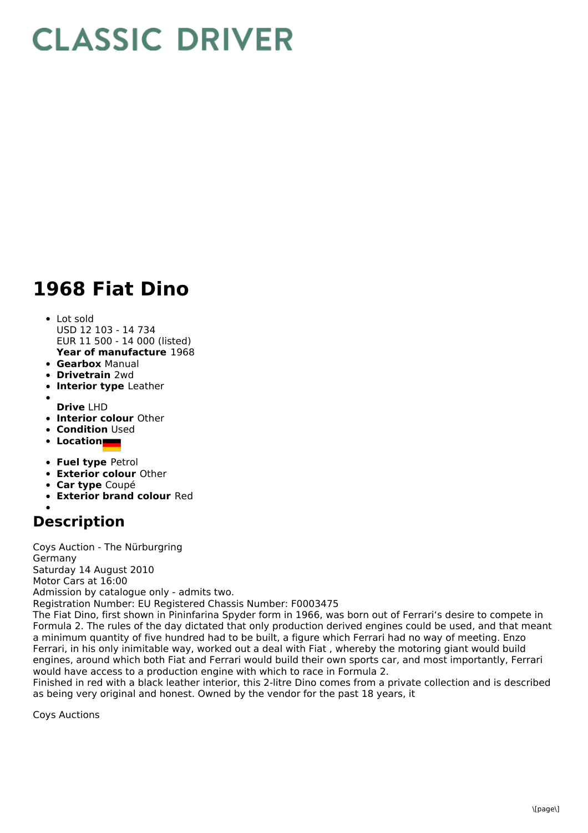## **CLASSIC DRIVER**

## **1968 Fiat Dino**

## Lot sold

- **Year of manufacture** 1968 USD 12 103 - 14 734 EUR 11 500 - 14 000 (listed)
- **Gearbox** Manual
- **Drivetrain** 2wd
- **Interior type** Leather
- **Drive** LHD
- **Interior colour** Other
- **Condition** Used
- **Location**
- **Fuel type** Petrol
- **Exterior colour** Other
- **Car type** Coupé
- **Exterior brand colour** Red

## **Description**

Coys Auction - The Nürburgring Germany Saturday 14 August 2010 Motor Cars at 16:00 Admission by catalogue only - admits two.

Registration Number: EU Registered Chassis Number: F0003475

The Fiat Dino, first shown in Pininfarina Spyder form in 1966, was born out of Ferrari's desire to compete in Formula 2. The rules of the day dictated that only production derived engines could be used, and that meant a minimum quantity of five hundred had to be built, a figure which Ferrari had no way of meeting. Enzo Ferrari, in his only inimitable way, worked out a deal with Fiat , whereby the motoring giant would build engines, around which both Fiat and Ferrari would build their own sports car, and most importantly, Ferrari would have access to a production engine with which to race in Formula 2.

Finished in red with a black leather interior, this 2-litre Dino comes from a private collection and is described as being very original and honest. Owned by the vendor for the past 18 years, it

Coys Auctions